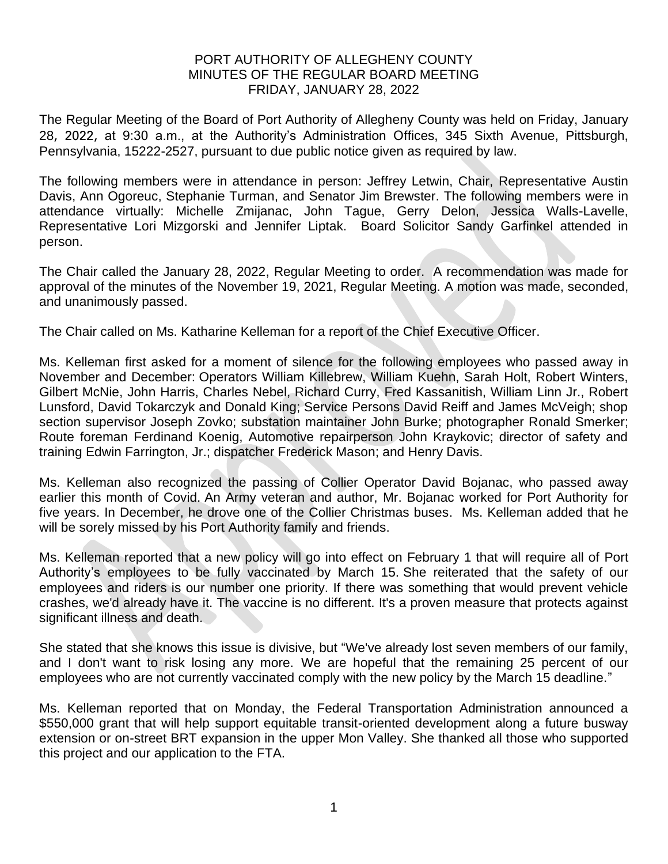## PORT AUTHORITY OF ALLEGHENY COUNTY MINUTES OF THE REGULAR BOARD MEETING FRIDAY, JANUARY 28, 2022

The Regular Meeting of the Board of Port Authority of Allegheny County was held on Friday, January 28, 2022, at 9:30 a.m., at the Authority's Administration Offices, 345 Sixth Avenue, Pittsburgh, Pennsylvania, 15222-2527, pursuant to due public notice given as required by law.

The following members were in attendance in person: Jeffrey Letwin, Chair, Representative Austin Davis, Ann Ogoreuc, Stephanie Turman, and Senator Jim Brewster. The following members were in attendance virtually: Michelle Zmijanac, John Tague, Gerry Delon, Jessica Walls-Lavelle, Representative Lori Mizgorski and Jennifer Liptak. Board Solicitor Sandy Garfinkel attended in person.

The Chair called the January 28, 2022, Regular Meeting to order. A recommendation was made for approval of the minutes of the November 19, 2021, Regular Meeting. A motion was made, seconded, and unanimously passed.

The Chair called on Ms. Katharine Kelleman for a report of the Chief Executive Officer.

Ms. Kelleman first asked for a moment of silence for the following employees who passed away in November and December: Operators William Killebrew, William Kuehn, Sarah Holt, Robert Winters, Gilbert McNie, John Harris, Charles Nebel, Richard Curry, Fred Kassanitish, William Linn Jr., Robert Lunsford, David Tokarczyk and Donald King; Service Persons David Reiff and James McVeigh; shop section supervisor Joseph Zovko; substation maintainer John Burke; photographer Ronald Smerker; Route foreman Ferdinand Koenig, Automotive repairperson John Kraykovic; director of safety and training Edwin Farrington, Jr.; dispatcher Frederick Mason; and Henry Davis.

Ms. Kelleman also recognized the passing of Collier Operator David Bojanac, who passed away earlier this month of Covid. An Army veteran and author, Mr. Bojanac worked for Port Authority for five years. In December, he drove one of the Collier Christmas buses. Ms. Kelleman added that he will be sorely missed by his Port Authority family and friends.

Ms. Kelleman reported that a new policy will go into effect on February 1 that will require all of Port Authority's employees to be fully vaccinated by March 15. She reiterated that the safety of our employees and riders is our number one priority. If there was something that would prevent vehicle crashes, we'd already have it. The vaccine is no different. It's a proven measure that protects against significant illness and death.

She stated that she knows this issue is divisive, but "We've already lost seven members of our family, and I don't want to risk losing any more. We are hopeful that the remaining 25 percent of our employees who are not currently vaccinated comply with the new policy by the March 15 deadline."

Ms. Kelleman reported that on Monday, the Federal Transportation Administration announced a \$550,000 grant that will help support equitable transit-oriented development along a future busway extension or on-street BRT expansion in the upper Mon Valley. She thanked all those who supported this project and our application to the FTA.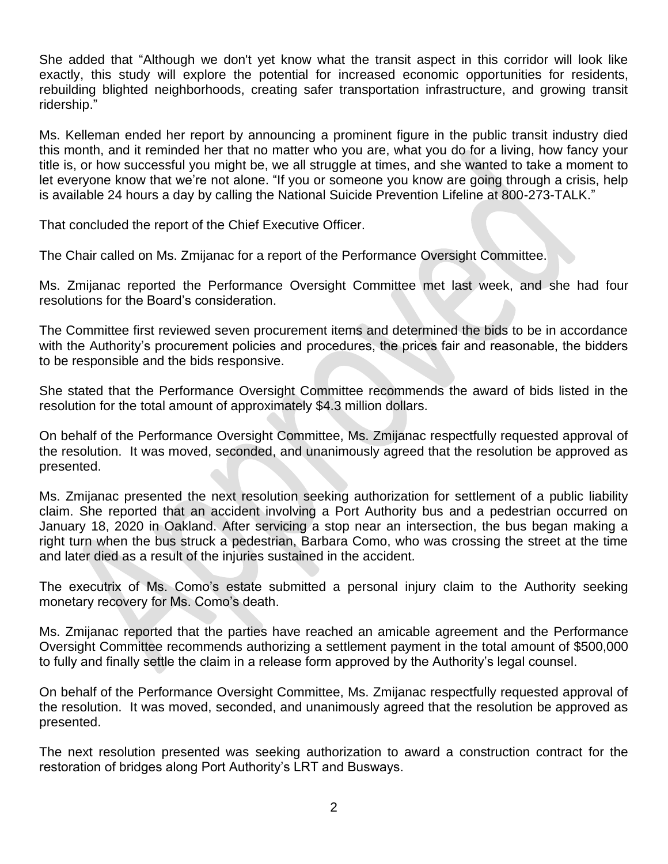She added that "Although we don't yet know what the transit aspect in this corridor will look like exactly, this study will explore the potential for increased economic opportunities for residents, rebuilding blighted neighborhoods, creating safer transportation infrastructure, and growing transit ridership."

Ms. Kelleman ended her report by announcing a prominent figure in the public transit industry died this month, and it reminded her that no matter who you are, what you do for a living, how fancy your title is, or how successful you might be, we all struggle at times, and she wanted to take a moment to let everyone know that we're not alone. "If you or someone you know are going through a crisis, help is available 24 hours a day by calling the National Suicide Prevention Lifeline at 800-273-TALK."

That concluded the report of the Chief Executive Officer.

The Chair called on Ms. Zmijanac for a report of the Performance Oversight Committee.

Ms. Zmijanac reported the Performance Oversight Committee met last week, and she had four resolutions for the Board's consideration.

The Committee first reviewed seven procurement items and determined the bids to be in accordance with the Authority's procurement policies and procedures, the prices fair and reasonable, the bidders to be responsible and the bids responsive.

She stated that the Performance Oversight Committee recommends the award of bids listed in the resolution for the total amount of approximately \$4.3 million dollars.

On behalf of the Performance Oversight Committee, Ms. Zmijanac respectfully requested approval of the resolution. It was moved, seconded, and unanimously agreed that the resolution be approved as presented.

Ms. Zmijanac presented the next resolution seeking authorization for settlement of a public liability claim. She reported that an accident involving a Port Authority bus and a pedestrian occurred on January 18, 2020 in Oakland. After servicing a stop near an intersection, the bus began making a right turn when the bus struck a pedestrian, Barbara Como, who was crossing the street at the time and later died as a result of the injuries sustained in the accident.

The executrix of Ms. Como's estate submitted a personal injury claim to the Authority seeking monetary recovery for Ms. Como's death.

Ms. Zmijanac reported that the parties have reached an amicable agreement and the Performance Oversight Committee recommends authorizing a settlement payment in the total amount of \$500,000 to fully and finally settle the claim in a release form approved by the Authority's legal counsel.

On behalf of the Performance Oversight Committee, Ms. Zmijanac respectfully requested approval of the resolution. It was moved, seconded, and unanimously agreed that the resolution be approved as presented.

The next resolution presented was seeking authorization to award a construction contract for the restoration of bridges along Port Authority's LRT and Busways.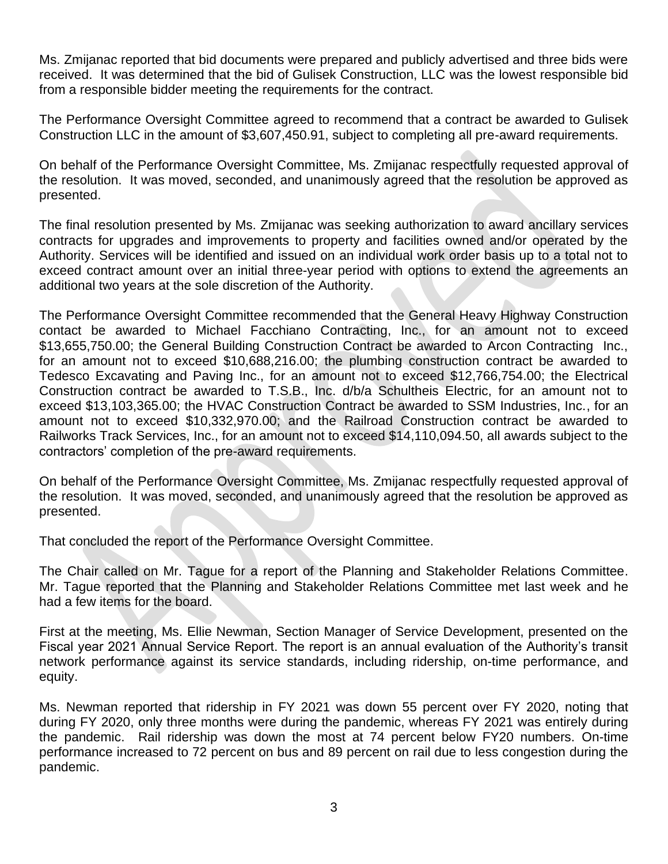Ms. Zmijanac reported that bid documents were prepared and publicly advertised and three bids were received. It was determined that the bid of Gulisek Construction, LLC was the lowest responsible bid from a responsible bidder meeting the requirements for the contract.

The Performance Oversight Committee agreed to recommend that a contract be awarded to Gulisek Construction LLC in the amount of \$3,607,450.91, subject to completing all pre-award requirements.

On behalf of the Performance Oversight Committee, Ms. Zmijanac respectfully requested approval of the resolution. It was moved, seconded, and unanimously agreed that the resolution be approved as presented.

The final resolution presented by Ms. Zmijanac was seeking authorization to award ancillary services contracts for upgrades and improvements to property and facilities owned and/or operated by the Authority. Services will be identified and issued on an individual work order basis up to a total not to exceed contract amount over an initial three-year period with options to extend the agreements an additional two years at the sole discretion of the Authority.

The Performance Oversight Committee recommended that the General Heavy Highway Construction contact be awarded to Michael Facchiano Contracting, Inc., for an amount not to exceed \$13,655,750.00; the General Building Construction Contract be awarded to Arcon Contracting Inc., for an amount not to exceed \$10,688,216.00; the plumbing construction contract be awarded to Tedesco Excavating and Paving Inc., for an amount not to exceed \$12,766,754.00; the Electrical Construction contract be awarded to T.S.B., Inc. d/b/a Schultheis Electric, for an amount not to exceed \$13,103,365.00; the HVAC Construction Contract be awarded to SSM Industries, Inc., for an amount not to exceed \$10,332,970.00; and the Railroad Construction contract be awarded to Railworks Track Services, Inc., for an amount not to exceed \$14,110,094.50, all awards subject to the contractors' completion of the pre-award requirements.

On behalf of the Performance Oversight Committee, Ms. Zmijanac respectfully requested approval of the resolution. It was moved, seconded, and unanimously agreed that the resolution be approved as presented.

That concluded the report of the Performance Oversight Committee.

The Chair called on Mr. Tague for a report of the Planning and Stakeholder Relations Committee. Mr. Tague reported that the Planning and Stakeholder Relations Committee met last week and he had a few items for the board.

First at the meeting, Ms. Ellie Newman, Section Manager of Service Development, presented on the Fiscal year 2021 Annual Service Report. The report is an annual evaluation of the Authority's transit network performance against its service standards, including ridership, on-time performance, and equity.

Ms. Newman reported that ridership in FY 2021 was down 55 percent over FY 2020, noting that during FY 2020, only three months were during the pandemic, whereas FY 2021 was entirely during the pandemic. Rail ridership was down the most at 74 percent below FY20 numbers. On-time performance increased to 72 percent on bus and 89 percent on rail due to less congestion during the pandemic.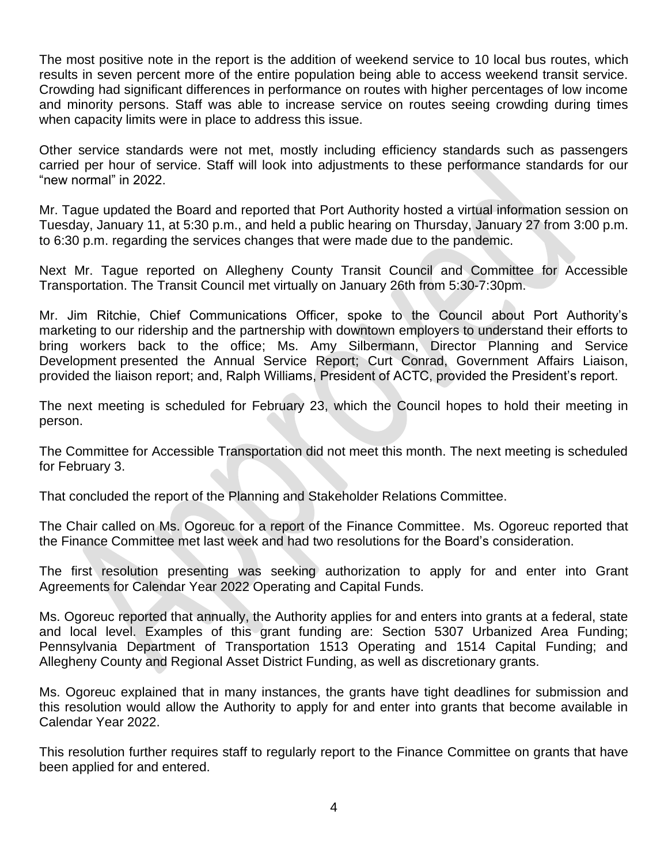The most positive note in the report is the addition of weekend service to 10 local bus routes, which results in seven percent more of the entire population being able to access weekend transit service. Crowding had significant differences in performance on routes with higher percentages of low income and minority persons. Staff was able to increase service on routes seeing crowding during times when capacity limits were in place to address this issue.

Other service standards were not met, mostly including efficiency standards such as passengers carried per hour of service. Staff will look into adjustments to these performance standards for our "new normal" in 2022.

Mr. Tague updated the Board and reported that Port Authority hosted a virtual information session on Tuesday, January 11, at 5:30 p.m., and held a public hearing on Thursday, January 27 from 3:00 p.m. to 6:30 p.m. regarding the services changes that were made due to the pandemic.

Next Mr. Tague reported on Allegheny County Transit Council and Committee for Accessible Transportation. The Transit Council met virtually on January 26th from 5:30-7:30pm.

Mr. Jim Ritchie, Chief Communications Officer, spoke to the Council about Port Authority's marketing to our ridership and the partnership with downtown employers to understand their efforts to bring workers back to the office; Ms. Amy Silbermann, Director Planning and Service Development presented the Annual Service Report; Curt Conrad, Government Affairs Liaison, provided the liaison report; and, Ralph Williams, President of ACTC, provided the President's report.

The next meeting is scheduled for February 23, which the Council hopes to hold their meeting in person.

The Committee for Accessible Transportation did not meet this month. The next meeting is scheduled for February 3.

That concluded the report of the Planning and Stakeholder Relations Committee.

The Chair called on Ms. Ogoreuc for a report of the Finance Committee. Ms. Ogoreuc reported that the Finance Committee met last week and had two resolutions for the Board's consideration.

The first resolution presenting was seeking authorization to apply for and enter into Grant Agreements for Calendar Year 2022 Operating and Capital Funds.

Ms. Ogoreuc reported that annually, the Authority applies for and enters into grants at a federal, state and local level. Examples of this grant funding are: Section 5307 Urbanized Area Funding; Pennsylvania Department of Transportation 1513 Operating and 1514 Capital Funding; and Allegheny County and Regional Asset District Funding, as well as discretionary grants.

Ms. Ogoreuc explained that in many instances, the grants have tight deadlines for submission and this resolution would allow the Authority to apply for and enter into grants that become available in Calendar Year 2022.

This resolution further requires staff to regularly report to the Finance Committee on grants that have been applied for and entered.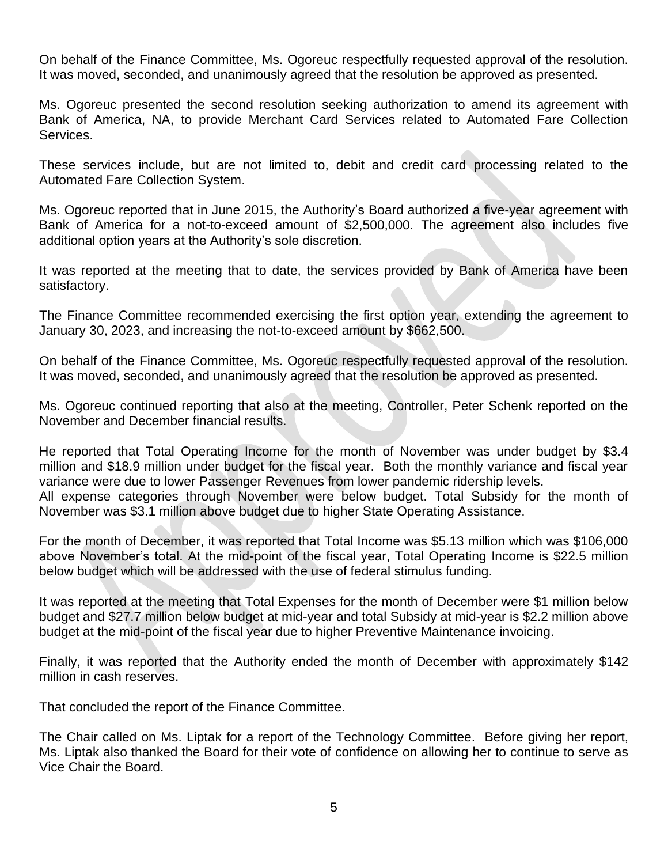On behalf of the Finance Committee, Ms. Ogoreuc respectfully requested approval of the resolution. It was moved, seconded, and unanimously agreed that the resolution be approved as presented.

Ms. Ogoreuc presented the second resolution seeking authorization to amend its agreement with Bank of America, NA, to provide Merchant Card Services related to Automated Fare Collection Services.

These services include, but are not limited to, debit and credit card processing related to the Automated Fare Collection System.

Ms. Ogoreuc reported that in June 2015, the Authority's Board authorized a five-year agreement with Bank of America for a not-to-exceed amount of \$2,500,000. The agreement also includes five additional option years at the Authority's sole discretion.

It was reported at the meeting that to date, the services provided by Bank of America have been satisfactory.

The Finance Committee recommended exercising the first option year, extending the agreement to January 30, 2023, and increasing the not-to-exceed amount by \$662,500.

On behalf of the Finance Committee, Ms. Ogoreuc respectfully requested approval of the resolution. It was moved, seconded, and unanimously agreed that the resolution be approved as presented.

Ms. Ogoreuc continued reporting that also at the meeting, Controller, Peter Schenk reported on the November and December financial results.

He reported that Total Operating Income for the month of November was under budget by \$3.4 million and \$18.9 million under budget for the fiscal year. Both the monthly variance and fiscal year variance were due to lower Passenger Revenues from lower pandemic ridership levels.

All expense categories through November were below budget. Total Subsidy for the month of November was \$3.1 million above budget due to higher State Operating Assistance.

For the month of December, it was reported that Total Income was \$5.13 million which was \$106,000 above November's total. At the mid-point of the fiscal year, Total Operating Income is \$22.5 million below budget which will be addressed with the use of federal stimulus funding.

It was reported at the meeting that Total Expenses for the month of December were \$1 million below budget and \$27.7 million below budget at mid-year and total Subsidy at mid-year is \$2.2 million above budget at the mid-point of the fiscal year due to higher Preventive Maintenance invoicing.

Finally, it was reported that the Authority ended the month of December with approximately \$142 million in cash reserves.

That concluded the report of the Finance Committee.

The Chair called on Ms. Liptak for a report of the Technology Committee. Before giving her report, Ms. Liptak also thanked the Board for their vote of confidence on allowing her to continue to serve as Vice Chair the Board.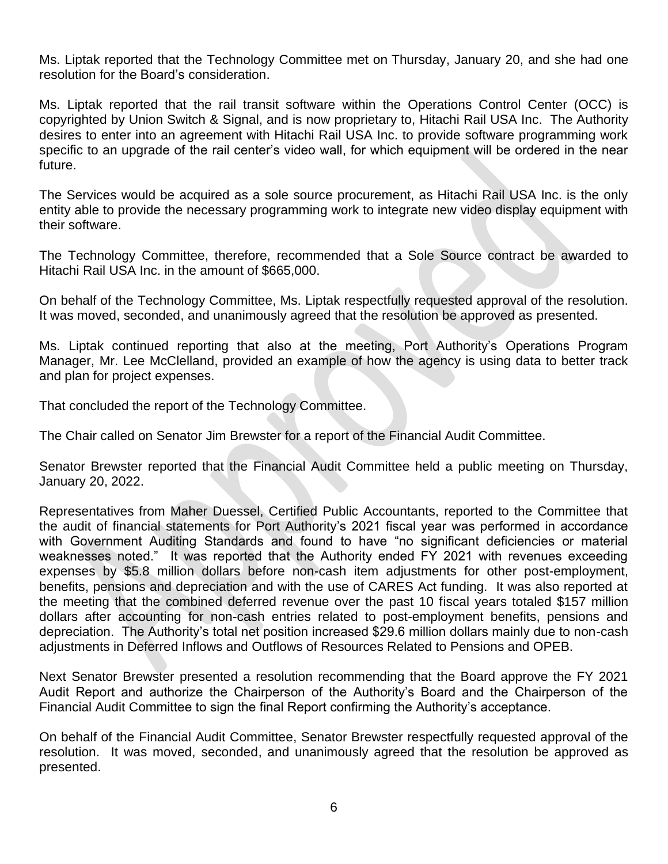Ms. Liptak reported that the Technology Committee met on Thursday, January 20, and she had one resolution for the Board's consideration.

Ms. Liptak reported that the rail transit software within the Operations Control Center (OCC) is copyrighted by Union Switch & Signal, and is now proprietary to, Hitachi Rail USA Inc. The Authority desires to enter into an agreement with Hitachi Rail USA Inc. to provide software programming work specific to an upgrade of the rail center's video wall, for which equipment will be ordered in the near future.

The Services would be acquired as a sole source procurement, as Hitachi Rail USA Inc. is the only entity able to provide the necessary programming work to integrate new video display equipment with their software.

The Technology Committee, therefore, recommended that a Sole Source contract be awarded to Hitachi Rail USA Inc. in the amount of \$665,000.

On behalf of the Technology Committee, Ms. Liptak respectfully requested approval of the resolution. It was moved, seconded, and unanimously agreed that the resolution be approved as presented.

Ms. Liptak continued reporting that also at the meeting, Port Authority's Operations Program Manager, Mr. Lee McClelland, provided an example of how the agency is using data to better track and plan for project expenses.

That concluded the report of the Technology Committee.

The Chair called on Senator Jim Brewster for a report of the Financial Audit Committee.

Senator Brewster reported that the Financial Audit Committee held a public meeting on Thursday, January 20, 2022.

Representatives from Maher Duessel, Certified Public Accountants, reported to the Committee that the audit of financial statements for Port Authority's 2021 fiscal year was performed in accordance with Government Auditing Standards and found to have "no significant deficiencies or material weaknesses noted." It was reported that the Authority ended FY 2021 with revenues exceeding expenses by \$5.8 million dollars before non-cash item adjustments for other post-employment, benefits, pensions and depreciation and with the use of CARES Act funding. It was also reported at the meeting that the combined deferred revenue over the past 10 fiscal years totaled \$157 million dollars after accounting for non-cash entries related to post-employment benefits, pensions and depreciation. The Authority's total net position increased \$29.6 million dollars mainly due to non-cash adjustments in Deferred Inflows and Outflows of Resources Related to Pensions and OPEB.

Next Senator Brewster presented a resolution recommending that the Board approve the FY 2021 Audit Report and authorize the Chairperson of the Authority's Board and the Chairperson of the Financial Audit Committee to sign the final Report confirming the Authority's acceptance.

On behalf of the Financial Audit Committee, Senator Brewster respectfully requested approval of the resolution. It was moved, seconded, and unanimously agreed that the resolution be approved as presented.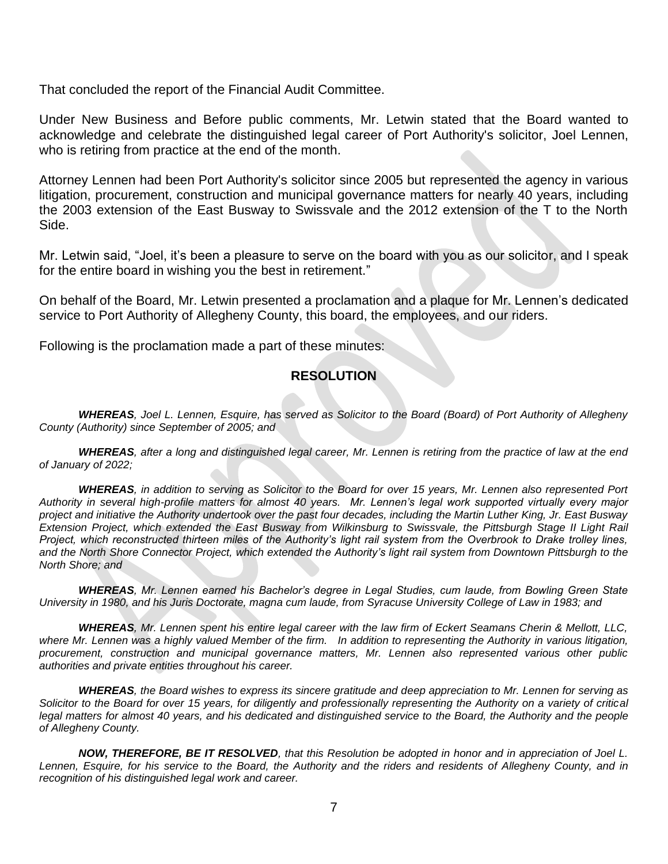That concluded the report of the Financial Audit Committee.

Under New Business and Before public comments, Mr. Letwin stated that the Board wanted to acknowledge and celebrate the distinguished legal career of Port Authority's solicitor, Joel Lennen, who is retiring from practice at the end of the month.

Attorney Lennen had been Port Authority's solicitor since 2005 but represented the agency in various litigation, procurement, construction and municipal governance matters for nearly 40 years, including the 2003 extension of the East Busway to Swissvale and the 2012 extension of the T to the North Side.

Mr. Letwin said, "Joel, it's been a pleasure to serve on the board with you as our solicitor, and I speak for the entire board in wishing you the best in retirement."

On behalf of the Board, Mr. Letwin presented a proclamation and a plaque for Mr. Lennen's dedicated service to Port Authority of Allegheny County, this board, the employees, and our riders.

Following is the proclamation made a part of these minutes:

## **RESOLUTION**

*WHEREAS, Joel L. Lennen, Esquire, has served as Solicitor to the Board (Board) of Port Authority of Allegheny County (Authority) since September of 2005; and* 

*WHEREAS, after a long and distinguished legal career, Mr. Lennen is retiring from the practice of law at the end of January of 2022;* 

*WHEREAS, in addition to serving as Solicitor to the Board for over 15 years, Mr. Lennen also represented Port Authority in several high-profile matters for almost 40 years. Mr. Lennen's legal work supported virtually every major project and initiative the Authority undertook over the past four decades, including the Martin Luther King, Jr. East Busway Extension Project, which extended the East Busway from Wilkinsburg to Swissvale, the Pittsburgh Stage II Light Rail Project, which reconstructed thirteen miles of the Authority's light rail system from the Overbrook to Drake trolley lines, and the North Shore Connector Project, which extended the Authority's light rail system from Downtown Pittsburgh to the North Shore; and* 

*WHEREAS, Mr. Lennen earned his Bachelor's degree in Legal Studies, cum laude, from Bowling Green State University in 1980, and his Juris Doctorate, magna cum laude, from Syracuse University College of Law in 1983; and*

*WHEREAS, Mr. Lennen spent his entire legal career with the law firm of Eckert Seamans Cherin & Mellott, LLC,*  where Mr. Lennen was a highly valued Member of the firm. In addition to representing the Authority in various litigation, *procurement, construction and municipal governance matters, Mr. Lennen also represented various other public authorities and private entities throughout his career.* 

*WHEREAS, the Board wishes to express its sincere gratitude and deep appreciation to Mr. Lennen for serving as Solicitor to the Board for over 15 years, for diligently and professionally representing the Authority on a variety of critical*  legal matters for almost 40 years, and his dedicated and distinguished service to the Board, the Authority and the people *of Allegheny County.* 

*NOW, THEREFORE, BE IT RESOLVED, that this Resolution be adopted in honor and in appreciation of Joel L. Lennen, Esquire, for his service to the Board, the Authority and the riders and residents of Allegheny County, and in recognition of his distinguished legal work and career.*